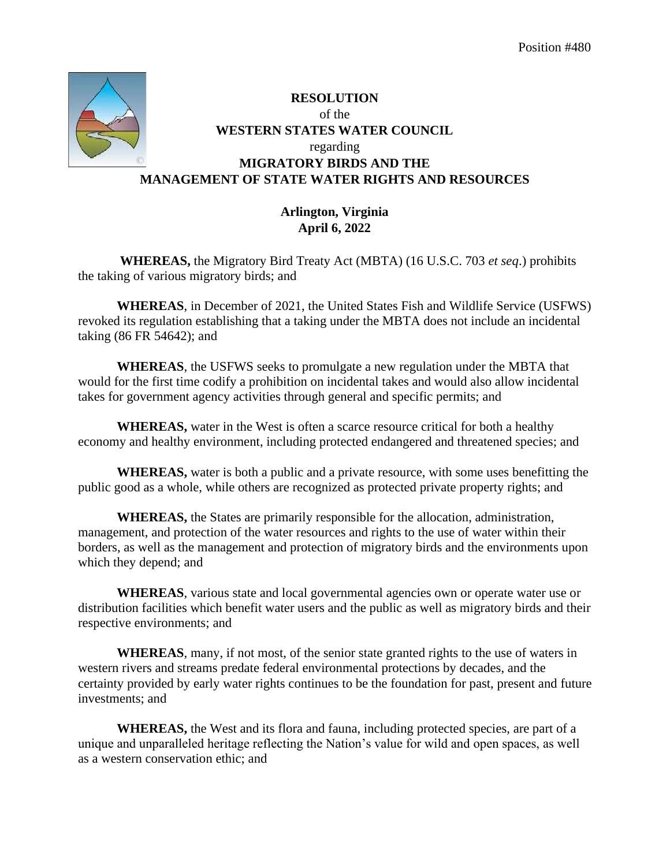

## **RESOLUTION**  of the **WESTERN STATES WATER COUNCIL**  regarding **MIGRATORY BIRDS AND THE MANAGEMENT OF STATE WATER RIGHTS AND RESOURCES**

## **Arlington, Virginia April 6, 2022**

**WHEREAS,** the Migratory Bird Treaty Act (MBTA) (16 U.S.C. 703 *et seq*.) prohibits the taking of various migratory birds; and

**WHEREAS**, in December of 2021, the United States Fish and Wildlife Service (USFWS) revoked its regulation establishing that a taking under the MBTA does not include an incidental taking (86 FR 54642); and

**WHEREAS**, the USFWS seeks to promulgate a new regulation under the MBTA that would for the first time codify a prohibition on incidental takes and would also allow incidental takes for government agency activities through general and specific permits; and

**WHEREAS,** water in the West is often a scarce resource critical for both a healthy economy and healthy environment, including protected endangered and threatened species; and

**WHEREAS,** water is both a public and a private resource, with some uses benefitting the public good as a whole, while others are recognized as protected private property rights; and

**WHEREAS,** the States are primarily responsible for the allocation, administration, management, and protection of the water resources and rights to the use of water within their borders, as well as the management and protection of migratory birds and the environments upon which they depend; and

**WHEREAS**, various state and local governmental agencies own or operate water use or distribution facilities which benefit water users and the public as well as migratory birds and their respective environments; and

**WHEREAS**, many, if not most, of the senior state granted rights to the use of waters in western rivers and streams predate federal environmental protections by decades, and the certainty provided by early water rights continues to be the foundation for past, present and future investments; and

**WHEREAS,** the West and its flora and fauna, including protected species, are part of a unique and unparalleled heritage reflecting the Nation's value for wild and open spaces, as well as a western conservation ethic; and